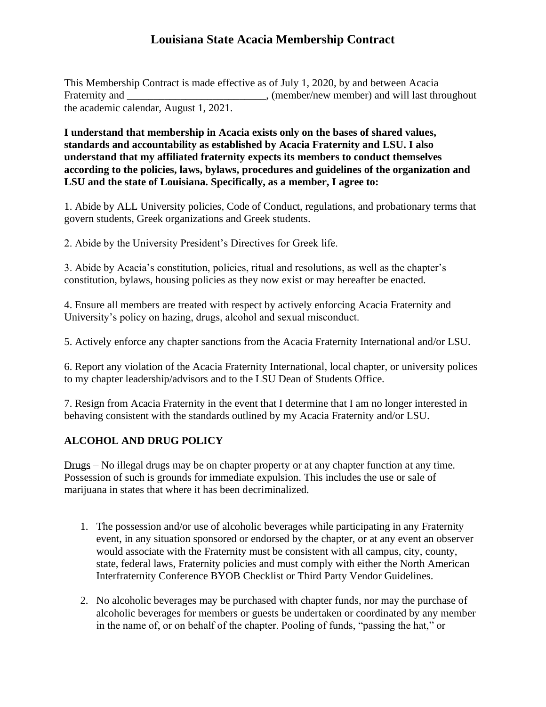# **Louisiana State Acacia Membership Contract**

This Membership Contract is made effective as of July 1, 2020, by and between Acacia Fraternity and \_\_\_\_\_\_\_\_\_\_\_\_\_\_\_\_\_\_\_\_\_\_\_\_\_\_\_\_, (member/new member) and will last throughout the academic calendar, August 1, 2021.

**I understand that membership in Acacia exists only on the bases of shared values, standards and accountability as established by Acacia Fraternity and LSU. I also understand that my affiliated fraternity expects its members to conduct themselves according to the policies, laws, bylaws, procedures and guidelines of the organization and LSU and the state of Louisiana. Specifically, as a member, I agree to:**

1. Abide by ALL University policies, Code of Conduct, regulations, and probationary terms that govern students, Greek organizations and Greek students.

2. Abide by the University President's Directives for Greek life.

3. Abide by Acacia's constitution, policies, ritual and resolutions, as well as the chapter's constitution, bylaws, housing policies as they now exist or may hereafter be enacted.

4. Ensure all members are treated with respect by actively enforcing Acacia Fraternity and University's policy on hazing, drugs, alcohol and sexual misconduct.

5. Actively enforce any chapter sanctions from the Acacia Fraternity International and/or LSU.

6. Report any violation of the Acacia Fraternity International, local chapter, or university polices to my chapter leadership/advisors and to the LSU Dean of Students Office.

7. Resign from Acacia Fraternity in the event that I determine that I am no longer interested in behaving consistent with the standards outlined by my Acacia Fraternity and/or LSU.

# **ALCOHOL AND DRUG POLICY**

Drugs – No illegal drugs may be on chapter property or at any chapter function at any time. Possession of such is grounds for immediate expulsion. This includes the use or sale of marijuana in states that where it has been decriminalized.

- 1. The possession and/or use of alcoholic beverages while participating in any Fraternity event, in any situation sponsored or endorsed by the chapter, or at any event an observer would associate with the Fraternity must be consistent with all campus, city, county, state, federal laws, Fraternity policies and must comply with either the North American Interfraternity Conference BYOB Checklist or Third Party Vendor Guidelines.
- 2. No alcoholic beverages may be purchased with chapter funds, nor may the purchase of alcoholic beverages for members or guests be undertaken or coordinated by any member in the name of, or on behalf of the chapter. Pooling of funds, "passing the hat," or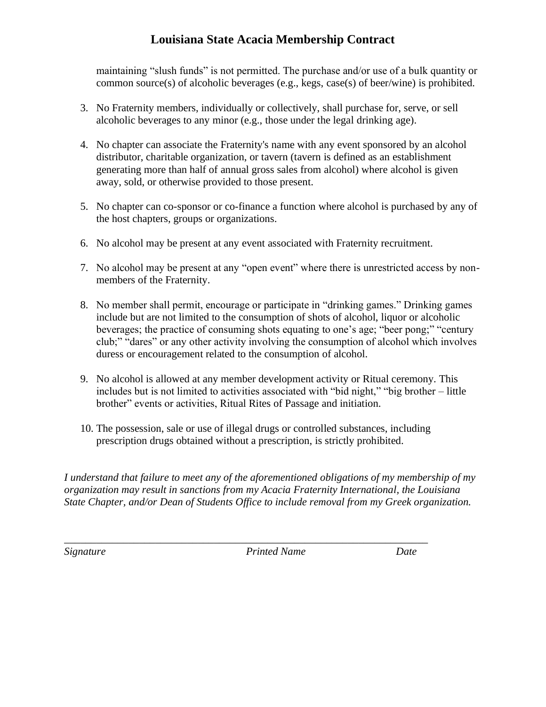# **Louisiana State Acacia Membership Contract**

maintaining "slush funds" is not permitted. The purchase and/or use of a bulk quantity or common source(s) of alcoholic beverages (e.g., kegs, case(s) of beer/wine) is prohibited.

- 3. No Fraternity members, individually or collectively, shall purchase for, serve, or sell alcoholic beverages to any minor (e.g., those under the legal drinking age).
- 4. No chapter can associate the Fraternity's name with any event sponsored by an alcohol distributor, charitable organization, or tavern (tavern is defined as an establishment generating more than half of annual gross sales from alcohol) where alcohol is given away, sold, or otherwise provided to those present.
- 5. No chapter can co-sponsor or co-finance a function where alcohol is purchased by any of the host chapters, groups or organizations.
- 6. No alcohol may be present at any event associated with Fraternity recruitment.
- 7. No alcohol may be present at any "open event" where there is unrestricted access by nonmembers of the Fraternity.
- 8. No member shall permit, encourage or participate in "drinking games." Drinking games include but are not limited to the consumption of shots of alcohol, liquor or alcoholic beverages; the practice of consuming shots equating to one's age; "beer pong;" "century club;" "dares" or any other activity involving the consumption of alcohol which involves duress or encouragement related to the consumption of alcohol.
- 9. No alcohol is allowed at any member development activity or Ritual ceremony. This includes but is not limited to activities associated with "bid night," "big brother – little brother" events or activities, Ritual Rites of Passage and initiation.
- 10. The possession, sale or use of illegal drugs or controlled substances, including prescription drugs obtained without a prescription, is strictly prohibited.

*\_\_\_\_\_\_\_\_\_\_\_\_\_\_\_\_\_\_\_\_\_\_\_\_\_\_\_\_\_\_\_\_\_\_\_\_\_\_\_\_\_\_\_\_\_\_\_\_\_\_\_\_\_\_\_\_\_\_\_\_\_\_\_\_\_\_\_\_* 

*I understand that failure to meet any of the aforementioned obligations of my membership of my organization may result in sanctions from my Acacia Fraternity International, the Louisiana State Chapter, and/or Dean of Students Office to include removal from my Greek organization.* 

*Signature Printed Name Date*